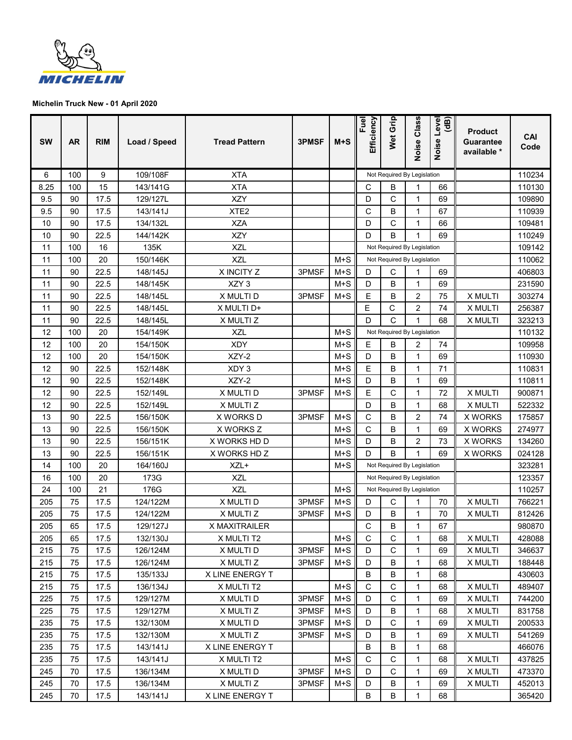

| <b>SW</b> | <b>AR</b> | <b>RIM</b>   | Load / Speed         | <b>Tread Pattern</b>      | <b>3PMSF</b> | $M+S$          | Fuel<br>Efficiency                                         | Wet Grip                    | Class<br>Noise      | (dB)<br>level<br>Noise | <b>Product</b><br>Guarantee<br>available * | CAI<br>Code      |
|-----------|-----------|--------------|----------------------|---------------------------|--------------|----------------|------------------------------------------------------------|-----------------------------|---------------------|------------------------|--------------------------------------------|------------------|
| 6         | 100       | 9            | 109/108F             | <b>XTA</b>                |              |                |                                                            | Not Required By Legislation |                     |                        |                                            | 110234           |
| 8.25      | 100       | 15           | 143/141G             | <b>XTA</b>                |              |                | С                                                          | B                           | 1                   | 66                     |                                            | 110130           |
| 9.5       | 90        | 17.5         | 129/127L             | <b>XZY</b>                |              |                | D                                                          | C                           | 1                   | 69                     |                                            | 109890           |
| 9.5       | 90        | 17.5         | 143/141J             | XTE <sub>2</sub>          |              |                | C                                                          | B                           | 1                   | 67                     |                                            | 110939           |
| 10        | 90        | 17.5         | 134/132L             | <b>XZA</b>                |              |                | D                                                          | C                           | 1                   | 66                     |                                            | 109481           |
| 10        | 90        | 22.5         | 144/142K             | <b>XZY</b>                |              |                | D                                                          | B                           | 1                   | 69                     |                                            | 110249           |
| 11        | 100       | 16           | 135K                 | <b>XZL</b>                |              |                | Not Required By Legislation                                |                             |                     |                        |                                            | 109142           |
| 11        | 100       | 20           | 150/146K             | <b>XZL</b>                |              | $M+S$          |                                                            | Not Required By Legislation |                     |                        |                                            | 110062           |
| 11        | 90        | 22.5         | 148/145J             | X INCITY Z                | 3PMSF        | $M+S$          | D                                                          | С                           | 1                   | 69                     |                                            | 406803           |
| 11        | 90        | 22.5         | 148/145K             | XZY <sub>3</sub>          |              | $M+S$          | D                                                          | B                           | 1                   | 69                     |                                            | 231590           |
| 11        | 90        | 22.5         | 148/145L             | X MULTI D                 | 3PMSF        | $M+S$          | E                                                          | B                           | $\overline{2}$      | 75                     | X MULTI                                    | 303274           |
| 11        | 90        | 22.5         | 148/145L             | X MULTI D+                |              |                | Ε                                                          | C                           | 2                   | 74                     | X MULTI                                    | 256387           |
| 11        | 90        | 22.5         | 148/145L             | X MULTI Z                 |              |                | D                                                          | C                           | 1                   | 68                     | X MULTI                                    | 323213           |
| 12        | 100       | 20           | 154/149K             | <b>XZL</b>                |              | $M+S$          |                                                            | Not Required By Legislation |                     |                        |                                            | 110132           |
| 12        | 100       | 20           | 154/150K             | <b>XDY</b>                |              | $M+S$          | E                                                          | B                           | 2                   | 74                     |                                            | 109958           |
| 12        | 100       | 20           | 154/150K             | XZY-2                     |              | $M+S$          | D                                                          | B                           | 1                   | 69                     |                                            | 110930           |
| 12        | 90        | 22.5         | 152/148K             | XDY 3                     |              | $M+S$          | E                                                          | B                           | 1                   | 71                     |                                            | 110831           |
| 12        | 90        | 22.5         | 152/148K             | XZY-2                     |              | $M+S$          | D                                                          | B                           | 1                   | 69                     |                                            | 110811           |
| 12        | 90        | 22.5         | 152/149L             | X MULTI D                 | 3PMSF        | $M+S$          | E                                                          | С                           | 1                   | 72                     | X MULTI                                    | 900871           |
| 12        | 90        | 22.5         | 152/149L             | X MULTI Z                 |              |                | D                                                          | B                           | 1                   | 68                     | X MULTI                                    | 522332           |
| 13        | 90        | 22.5         | 156/150K             | X WORKS D                 | 3PMSF        | $M+S$          | C                                                          | B                           | $\overline{2}$      | 74                     | <b>X WORKS</b>                             | 175857           |
| 13<br>13  | 90<br>90  | 22.5<br>22.5 | 156/150K<br>156/151K | X WORKS Z<br>X WORKS HD D |              | $M+S$<br>$M+S$ | С<br>D                                                     | B<br>B                      | 1<br>$\overline{2}$ | 69<br>73               | <b>X WORKS</b><br><b>X WORKS</b>           | 274977<br>134260 |
| 13        | 90        | 22.5         | 156/151K             | X WORKS HD Z              |              | $M+S$          | D                                                          | B                           | 1                   | 69                     | <b>X WORKS</b>                             | 024128           |
| 14        | 100       | 20           | 164/160J             | XZL+                      |              | $M+S$          |                                                            | Not Required By Legislation |                     |                        |                                            | 323281           |
| 16        | 100       | 20           | 173G                 | <b>XZL</b>                |              |                |                                                            |                             |                     |                        |                                            | 123357           |
| 24        | 100       | 21           | 176G                 | <b>XZL</b>                |              | $M+S$          | Not Required By Legislation<br>Not Required By Legislation |                             |                     |                        |                                            | 110257           |
| 205       | 75        | 17.5         | 124/122M             | X MULTI D                 | 3PMSF        | $M+S$          | D                                                          | C                           | 1                   | 70                     | X MULTI                                    | 766221           |
| 205       | 75        | 17.5         | 124/122M             | X MULTI Z                 | 3PMSF        | $M+S$          | D                                                          | B                           | 1                   | 70                     | X MULTI                                    | 812426           |
| 205       | 65        | 17.5         | 129/127J             | X MAXITRAILER             |              |                | C                                                          | B                           | 1                   | 67                     |                                            | 980870           |
| 205       | 65        | 17.5         | 132/130J             | X MULTI T2                |              | $M+S$          | C                                                          | C                           | 1                   | 68                     | X MULTI                                    | 428088           |
| 215       | 75        | 17.5         | 126/124M             | X MULTI D                 | 3PMSF        | $M+S$          | D                                                          | C                           | 1                   | 69                     | X MULTI                                    | 346637           |
| 215       | 75        | 17.5         | 126/124M             | X MULTI Z                 | 3PMSF        | $M+S$          | D                                                          | B                           | 1                   | 68                     | X MULTI                                    | 188448           |
| 215       | 75        | 17.5         | 135/133J             | X LINE ENERGY T           |              |                | B                                                          | B                           | $\mathbf{1}$        | 68                     |                                            | 430603           |
| 215       | 75        | 17.5         | 136/134J             | X MULTI T2                |              | $M+S$          | С                                                          | С                           | 1                   | 68                     | X MULTI                                    | 489407           |
| 225       | 75        | 17.5         | 129/127M             | X MULTI D                 | 3PMSF        | $M+S$          | D                                                          | С                           | 1                   | 69                     | X MULTI                                    | 744200           |
| 225       | 75        | 17.5         | 129/127M             | X MULTI Z                 | 3PMSF        | $M+S$          | D                                                          | B                           | 1                   | 68                     | X MULTI                                    | 831758           |
| 235       | 75        | 17.5         | 132/130M             | X MULTI D                 | 3PMSF        | $M+S$          | D                                                          | С                           | 1                   | 69                     | X MULTI                                    | 200533           |
| 235       | 75        | 17.5         | 132/130M             | X MULTI Z                 | 3PMSF        | $M+S$          | D                                                          | B                           | 1                   | 69                     | X MULTI                                    | 541269           |
| 235       | 75        | 17.5         | 143/141J             | <b>X LINE ENERGY T</b>    |              |                | B                                                          | В                           | 1                   | 68                     |                                            | 466076           |
| 235       | 75        | 17.5         | 143/141J             | X MULTI T2                |              | $M+S$          | С                                                          | С                           | 1                   | 68                     | X MULTI                                    | 437825           |
| 245       | 70        | 17.5         | 136/134M             | X MULTI D                 | 3PMSF        | $M+S$          | D                                                          | С                           | 1                   | 69                     | X MULTI                                    | 473370           |
| 245       | 70        | 17.5         | 136/134M             | X MULTI Z                 | 3PMSF        | $M+S$          | D                                                          | В                           | 1                   | 69                     | X MULTI                                    | 452013           |
| 245       | 70        | 17.5         | 143/141J             | X LINE ENERGY T           |              |                | B                                                          | B                           | 1                   | 68                     |                                            | 365420           |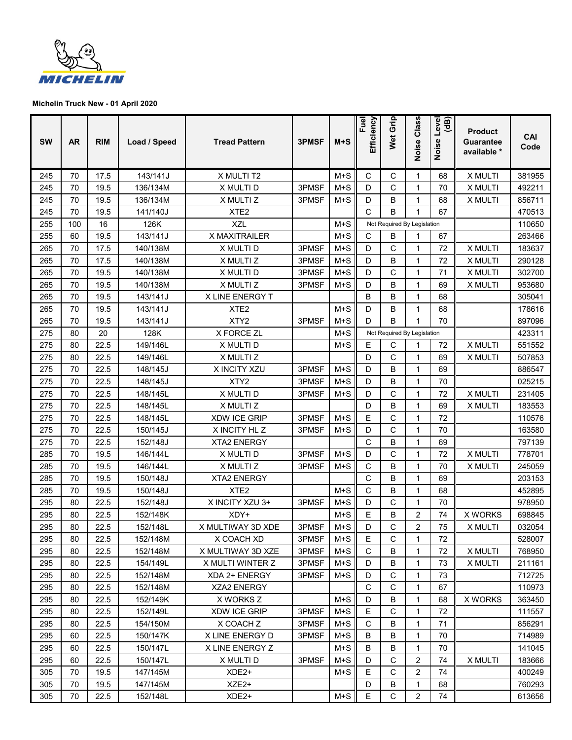

| <b>SW</b> | <b>AR</b> | <b>RIM</b> | Load / Speed | <b>Tread Pattern</b> | 3PMSF | $M+S$ | Fuel<br>Efficiency | Wet Grip                    | Class<br>Noise | Level<br>(dB)<br>Noise | <b>Product</b><br><b>Guarantee</b><br>available * | CAI<br>Code |
|-----------|-----------|------------|--------------|----------------------|-------|-------|--------------------|-----------------------------|----------------|------------------------|---------------------------------------------------|-------------|
| 245       | 70        | 17.5       | 143/141J     | X MULTI T2           |       | $M+S$ | C                  | C                           | 1              | 68                     | X MULTI                                           | 381955      |
| 245       | 70        | 19.5       | 136/134M     | X MULTI D            | 3PMSF | $M+S$ | D                  | C                           | 1              | 70                     | X MULTI                                           | 492211      |
| 245       | 70        | 19.5       | 136/134M     | X MULTI Z            | 3PMSF | $M+S$ | D                  | B                           | 1              | 68                     | X MULTI                                           | 856711      |
| 245       | 70        | 19.5       | 141/140J     | XTE <sub>2</sub>     |       |       | C                  | B                           | 1              | 67                     |                                                   | 470513      |
| 255       | 100       | 16         | 126K         | <b>XZL</b>           |       | $M+S$ |                    | Not Required By Legislation |                |                        |                                                   | 110650      |
| 255       | 60        | 19.5       | 143/141J     | X MAXITRAILER        |       | $M+S$ | C                  | B                           | 1              | 67                     |                                                   | 263466      |
| 265       | 70        | 17.5       | 140/138M     | X MULTI D            | 3PMSF | $M+S$ | D                  | C                           | 1              | 72                     | X MULTI                                           | 183637      |
| 265       | 70        | 17.5       | 140/138M     | X MULTI Z            | 3PMSF | $M+S$ | D                  | В                           | 1              | 72                     | X MULTI                                           | 290128      |
| 265       | 70        | 19.5       | 140/138M     | X MULTI D            | 3PMSF | $M+S$ | D                  | C                           | 1              | 71                     | X MULTI                                           | 302700      |
| 265       | 70        | 19.5       | 140/138M     | X MULTI Z            | 3PMSF | $M+S$ | D                  | B                           | 1              | 69                     | X MULTI                                           | 953680      |
| 265       | 70        | 19.5       | 143/141J     | X LINE ENERGY T      |       |       | B                  | B                           | 1              | 68                     |                                                   | 305041      |
| 265       | 70        | 19.5       | 143/141J     | XTE <sub>2</sub>     |       | $M+S$ | D                  | В                           | 1              | 68                     |                                                   | 178616      |
| 265       | 70        | 19.5       | 143/141J     | XTY2                 | 3PMSF | $M+S$ | D                  | B                           | 1              | 70                     |                                                   | 897096      |
| 275       | 80        | 20         | 128K         | X FORCE ZL           |       | $M+S$ |                    | Not Required By Legislation |                |                        |                                                   | 423311      |
| 275       | 80        | 22.5       | 149/146L     | X MULTI D            |       | $M+S$ | E                  | С                           |                | 72                     | X MULTI                                           | 551552      |
| 275       | 80        | 22.5       | 149/146L     | X MULTI Z            |       |       | D                  | C                           | 1              | 69                     | X MULTI                                           | 507853      |
| 275       | 70        | 22.5       | 148/145J     | X INCITY XZU         | 3PMSF | $M+S$ | D                  | B                           | 1              | 69                     |                                                   | 886547      |
| 275       | 70        | 22.5       | 148/145J     | XTY2                 | 3PMSF | $M+S$ | D                  | B                           | 1              | 70                     |                                                   | 025215      |
| 275       | 70        | 22.5       | 148/145L     | X MULTI D            | 3PMSF | $M+S$ | D                  | C                           | 1              | 72                     | X MULTI                                           | 231405      |
| 275       | 70        | 22.5       | 148/145L     | X MULTI Z            |       |       | D                  | B                           | 1              | 69                     | X MULTI                                           | 183553      |
| 275       | 70        | 22.5       | 148/145L     | <b>XDW ICE GRIP</b>  | 3PMSF | $M+S$ | Ε                  | C                           | 1              | 72                     |                                                   | 110576      |
| 275       | 70        | 22.5       | 150/145J     | X INCITY HL Z        | 3PMSF | $M+S$ | D                  | C                           | 1              | 70                     |                                                   | 163580      |
| 275       | 70        | 22.5       | 152/148J     | <b>XTA2 ENERGY</b>   |       |       | C                  | B                           | 1              | 69                     |                                                   | 797139      |
| 285       | 70        | 19.5       | 146/144L     | X MULTI D            | 3PMSF | $M+S$ | D                  | C                           | 1              | 72                     | X MULTI                                           | 778701      |
| 285       | 70        | 19.5       | 146/144L     | X MULTI Z            | 3PMSF | $M+S$ | C                  | B                           | 1              | 70                     | X MULTI                                           | 245059      |
| 285       | 70        | 19.5       | 150/148J     | <b>XTA2 ENERGY</b>   |       |       | C                  | B                           | $\mathbf 1$    | 69                     |                                                   | 203153      |
| 285       | 70        | 19.5       | 150/148J     | XTE <sub>2</sub>     |       | $M+S$ | C                  | B                           | 1              | 68                     |                                                   | 452895      |
| 295       | 80        | 22.5       | 152/148J     | X INCITY XZU 3+      | 3PMSF | $M+S$ | D                  | C                           | 1              | 70                     |                                                   | 978950      |
| 295       | 80        | 22.5       | 152/148K     | XDY+                 |       | $M+S$ | E                  | B                           | $\overline{2}$ | 74                     | <b>X WORKS</b>                                    | 698845      |
| 295       | 80        | 22.5       | 152/148L     | X MULTIWAY 3D XDE    | 3PMSF | $M+S$ | D                  | $\mathsf C$                 | 2              | 75                     | X MULTI                                           | 032054      |
| 295       | 80        | 22.5       | 152/148M     | X COACH XD           | 3PMSF | $M+S$ | Е                  | C                           | 1              | 72                     |                                                   | 528007      |
| 295       | 80        | 22.5       | 152/148M     | X MULTIWAY 3D XZE    | 3PMSF | $M+S$ | C                  | B                           | 1              | 72                     | X MULTI                                           | 768950      |
| 295       | 80        | 22.5       | 154/149L     | X MULTI WINTER Z     | 3PMSF | $M+S$ | D                  | В                           | 1              | 73                     | X MULTI                                           | 211161      |
| 295       | 80        | 22.5       | 152/148M     | XDA 2+ ENERGY        | 3PMSF | $M+S$ | D                  | C                           | 1              | 73                     |                                                   | 712725      |
| 295       | 80        | 22.5       | 152/148M     | XZA2 ENERGY          |       |       | С                  | C                           | 1              | 67                     |                                                   | 110973      |
| 295       | 80        | 22.5       | 152/149K     | X WORKS Z            |       | $M+S$ | D                  | В                           | 1              | 68                     | <b>X WORKS</b>                                    | 363450      |
| 295       | 80        | 22.5       | 152/149L     | <b>XDW ICE GRIP</b>  | 3PMSF | $M+S$ | Е                  | C                           | 1              | 72                     |                                                   | 111557      |
| 295       | 80        | 22.5       | 154/150M     | X COACH Z            | 3PMSF | M+S   | C                  | B                           | 1              | 71                     |                                                   | 856291      |
| 295       | 60        | 22.5       | 150/147K     | X LINE ENERGY D      | 3PMSF | $M+S$ | В                  | B                           | 1              | 70                     |                                                   | 714989      |
| 295       | 60        | 22.5       | 150/147L     | X LINE ENERGY Z      |       | $M+S$ | В                  | В                           | 1              | 70                     |                                                   | 141045      |
| 295       | 60        | 22.5       | 150/147L     | X MULTI D            | 3PMSF | $M+S$ | D                  | C                           | 2              | 74                     | X MULTI                                           | 183666      |
| 305       | 70        | 19.5       | 147/145M     | XDE2+                |       | $M+S$ | Ε                  | C                           | 2              | 74                     |                                                   | 400249      |
| 305       | 70        | 19.5       | 147/145M     | XZE2+                |       |       | D                  | В                           | 1              | 68                     |                                                   | 760293      |
| 305       | 70        | 22.5       | 152/148L     | XDE2+                |       | $M+S$ | Е                  | $\mathsf C$                 | 2              | 74                     |                                                   | 613656      |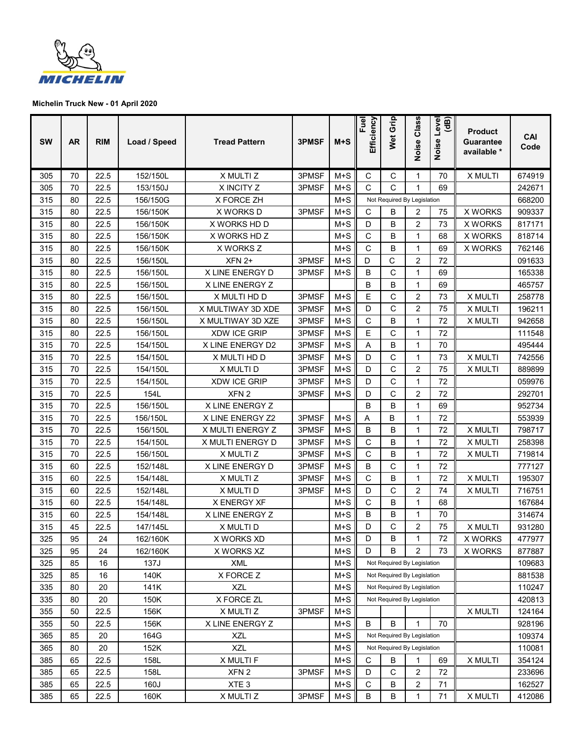

| <b>SW</b> | <b>AR</b> | <b>RIM</b> | Load / Speed | <b>Tread Pattern</b>   | 3PMSF | $M+S$ | Efficiency<br>Fuel | Wet Grip                    | Class<br>Noise | level<br>(dB)<br>Noise | <b>Product</b><br>Guarantee<br>available * | CAI<br>Code |
|-----------|-----------|------------|--------------|------------------------|-------|-------|--------------------|-----------------------------|----------------|------------------------|--------------------------------------------|-------------|
| 305       | 70        | 22.5       | 152/150L     | X MULTI Z              | 3PMSF | $M+S$ | C                  | C                           | 1              | 70                     | X MULTI                                    | 674919      |
| 305       | 70        | 22.5       | 153/150J     | X INCITY Z             | 3PMSF | $M+S$ | С                  | C                           | 1              | 69                     |                                            | 242671      |
| 315       | 80        | 22.5       | 156/150G     | X FORCE ZH             |       | $M+S$ |                    | Not Required By Legislation |                |                        |                                            | 668200      |
| 315       | 80        | 22.5       | 156/150K     | X WORKS D              | 3PMSF | $M+S$ | С                  | В                           | 2              | 75                     | <b>X WORKS</b>                             | 909337      |
| 315       | 80        | 22.5       | 156/150K     | X WORKS HD D           |       | $M+S$ | D                  | B                           | $\overline{2}$ | 73                     | <b>X WORKS</b>                             | 817171      |
| 315       | 80        | 22.5       | 156/150K     | X WORKS HD Z           |       | $M+S$ | C                  | В                           | 1              | 68                     | <b>X WORKS</b>                             | 818714      |
| 315       | 80        | 22.5       | 156/150K     | X WORKS Z              |       | $M+S$ | C                  | B                           | 1              | 69                     | <b>X WORKS</b>                             | 762146      |
| 315       | 80        | 22.5       | 156/150L     | $XFN$ 2+               | 3PMSF | $M+S$ | D                  | C                           | $\overline{2}$ | 72                     |                                            | 091633      |
| 315       | 80        | 22.5       | 156/150L     | <b>X LINE ENERGY D</b> | 3PMSF | $M+S$ | B                  | C                           | 1              | 69                     |                                            | 165338      |
| 315       | 80        | 22.5       | 156/150L     | X LINE ENERGY Z        |       |       | B                  | В                           | 1              | 69                     |                                            | 465757      |
| 315       | 80        | 22.5       | 156/150L     | X MULTI HD D           | 3PMSF | $M+S$ | E                  | C                           | $\overline{2}$ | 73                     | X MULTI                                    | 258778      |
| 315       | 80        | 22.5       | 156/150L     | X MULTIWAY 3D XDE      | 3PMSF | $M+S$ | D                  | C                           | $\overline{2}$ | 75                     | X MULTI                                    | 196211      |
| 315       | 80        | 22.5       | 156/150L     | X MULTIWAY 3D XZE      | 3PMSF | $M+S$ | C                  | B                           | $\mathbf 1$    | 72                     | X MULTI                                    | 942658      |
| 315       | 80        | 22.5       | 156/150L     | <b>XDW ICE GRIP</b>    | 3PMSF | $M+S$ | E                  | $\mathsf C$                 | 1              | 72                     |                                            | 111548      |
| 315       | 70        | 22.5       | 154/150L     | X LINE ENERGY D2       | 3PMSF | $M+S$ | Α                  | B                           | 1              | 70                     |                                            | 495444      |
| 315       | 70        | 22.5       | 154/150L     | X MULTI HD D           | 3PMSF | $M+S$ | D                  | C                           | 1              | 73                     | X MULTI                                    | 742556      |
| 315       | 70        | 22.5       | 154/150L     | X MULTI D              | 3PMSF | $M+S$ | D                  | $\mathsf C$                 | 2              | 75                     | X MULTI                                    | 889899      |
| 315       | 70        | 22.5       | 154/150L     | <b>XDW ICE GRIP</b>    | 3PMSF | $M+S$ | D                  | C                           | 1              | 72                     |                                            | 059976      |
| 315       | 70        | 22.5       | 154L         | XFN <sub>2</sub>       | 3PMSF | $M+S$ | D                  | C                           | $\overline{2}$ | 72                     |                                            | 292701      |
| 315       | 70        | 22.5       | 156/150L     | X LINE ENERGY Z        |       |       | B                  | B                           | 1              | 69                     |                                            | 952734      |
| 315       | 70        | 22.5       | 156/150L     | X LINE ENERGY Z2       | 3PMSF | $M+S$ | Α                  | В                           | 1              | 72                     |                                            | 553939      |
| 315       | 70        | 22.5       | 156/150L     | X MULTI ENERGY Z       | 3PMSF | $M+S$ | B                  | В                           | 1              | 72                     | X MULTI                                    | 798717      |
| 315       | 70        | 22.5       | 154/150L     | X MULTI ENERGY D       | 3PMSF | $M+S$ | C                  | В                           | 1              | 72                     | X MULTI                                    | 258398      |
| 315       | 70        | 22.5       | 156/150L     | X MULTI Z              | 3PMSF | $M+S$ | С                  | В                           | 1              | 72                     | X MULTI                                    | 719814      |
| 315       | 60        | 22.5       | 152/148L     | <b>X LINE ENERGY D</b> | 3PMSF | $M+S$ | B                  | C                           | 1              | 72                     |                                            | 777127      |
| 315       | 60        | 22.5       | 154/148L     | X MULTI Z              | 3PMSF | $M+S$ | C                  | В                           | 1              | 72                     | X MULTI                                    | 195307      |
| 315       | 60        | 22.5       | 152/148L     | X MULTI D              | 3PMSF | $M+S$ | D                  | C                           | $\overline{2}$ | 74                     | X MULTI                                    | 716751      |
| 315       | 60        | 22.5       | 154/148L     | X ENERGY XF            |       | $M+S$ | C                  | В                           | 1              | 68                     |                                            | 167684      |
| 315       | 60        | 22.5       | 154/148L     | X LINE ENERGY Z        |       | $M+S$ | B                  | В                           | 1              | 70                     |                                            | 314674      |
| 315       | 45        | 22.5       | 147/145L     | X MULTI D              |       | $M+S$ | D                  | C                           | $\overline{2}$ | 75                     | X MULTI                                    | 931280      |
| 325       | 95        | 24         | 162/160K     | X WORKS XD             |       | $M+S$ | D                  | В                           | 1              | 72                     | X WORKS                                    | 477977      |
| 325       | 95        | 24         | 162/160K     | X WORKS XZ             |       | $M+S$ | D                  | B                           | $\overline{2}$ | 73                     | X WORKS                                    | 877887      |
| 325       | 85        | 16         | 137J         | XML                    |       | $M+S$ |                    | Not Required By Legislation |                |                        |                                            | 109683      |
| 325       | 85        | 16         | 140K         | X FORCE Z              |       | $M+S$ |                    | Not Required By Legislation |                |                        |                                            | 881538      |
| 335       | 80        | 20         | 141K         | <b>XZL</b>             |       | $M+S$ |                    | Not Required By Legislation |                |                        |                                            | 110247      |
| 335       | 80        | 20         | 150K         | X FORCE ZL             |       | $M+S$ |                    | Not Required By Legislation |                |                        |                                            | 420813      |
| 355       | 50        | 22.5       | 156K         | X MULTI Z              | 3PMSF | $M+S$ |                    |                             |                |                        | X MULTI                                    | 124164      |
| 355       | 50        | 22.5       | 156K         | X LINE ENERGY Z        |       | $M+S$ | B                  | B                           | 1              | 70                     |                                            | 928196      |
| 365       | 85        | 20         | 164G         | <b>XZL</b>             |       | $M+S$ |                    | Not Required By Legislation |                |                        |                                            | 109374      |
| 365       | 80        | 20         | 152K         | <b>XZL</b>             |       | M+S   |                    | Not Required By Legislation |                |                        | 110081                                     |             |
| 385       | 65        | 22.5       | 158L         | X MULTI F              |       | $M+S$ | С                  | B                           | 1              | 69                     | X MULTI                                    | 354124      |
| 385       | 65        | 22.5       | 158L         | XFN 2                  | 3PMSF | $M+S$ | D                  | $\mathsf C$                 | $\overline{c}$ | 72                     |                                            | 233696      |
| 385       | 65        | 22.5       | 160J         | XTE <sub>3</sub>       |       | $M+S$ | С                  | В                           | 2              | 71                     |                                            | 162527      |
| 385       | 65        | 22.5       | 160K         | X MULTI Z              | 3PMSF | $M+S$ | B                  | B                           | 1              | 71                     | X MULTI                                    | 412086      |